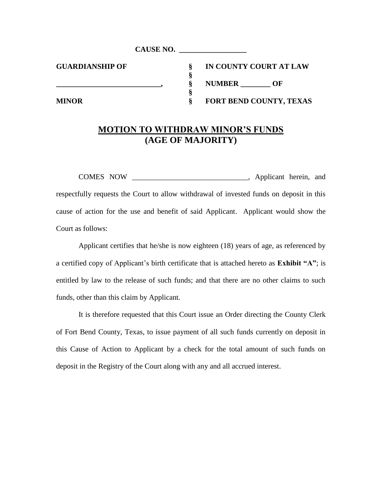| <b>CAUSE NO.</b>       |                                |
|------------------------|--------------------------------|
| <b>GUARDIANSHIP OF</b> | IN COUNTY COURT AT LAW         |
|                        | <b>NUMBER</b><br>OF            |
|                        |                                |
| <b>MINOR</b>           | <b>FORT BEND COUNTY, TEXAS</b> |

## **MOTION TO WITHDRAW MINOR'S FUNDS (AGE OF MAJORITY)**

COMES NOW \_\_\_\_\_\_\_\_\_\_\_\_\_\_\_\_\_\_\_\_\_\_\_\_\_\_\_\_\_\_\_, Applicant herein, and respectfully requests the Court to allow withdrawal of invested funds on deposit in this cause of action for the use and benefit of said Applicant. Applicant would show the Court as follows:

Applicant certifies that he/she is now eighteen (18) years of age, as referenced by a certified copy of Applicant's birth certificate that is attached hereto as **Exhibit "A"**; is entitled by law to the release of such funds; and that there are no other claims to such funds, other than this claim by Applicant.

It is therefore requested that this Court issue an Order directing the County Clerk of Fort Bend County, Texas, to issue payment of all such funds currently on deposit in this Cause of Action to Applicant by a check for the total amount of such funds on deposit in the Registry of the Court along with any and all accrued interest.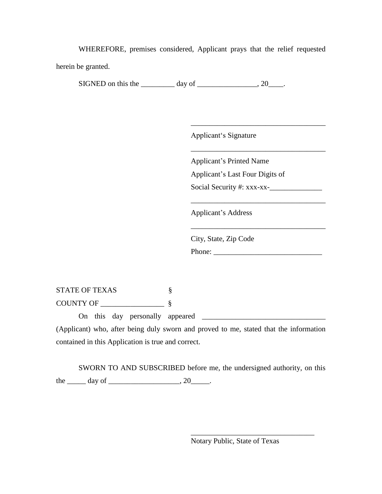WHEREFORE, premises considered, Applicant prays that the relief requested herein be granted.

 $\overline{\phantom{a}}$  , which is a set of the set of the set of the set of the set of the set of the set of the set of the set of the set of the set of the set of the set of the set of the set of the set of the set of the set of th

SIGNED on this the  $\_\_\_\_\_\$  day of  $\_\_\_\_\_\_\_\_\_\_$ . 20 $\_\_\_\_\_\.\$ 

Applicant's Signature

Applicant's Printed Name

Applicant's Last Four Digits of

| Social Security #: xxx-xx- |  |
|----------------------------|--|
|----------------------------|--|

Applicant's Address

City, State, Zip Code

Phone: \_\_\_\_\_\_\_\_\_\_\_\_\_\_\_\_\_\_\_\_\_\_\_\_\_\_\_\_\_

\_\_\_\_\_\_\_\_\_\_\_\_\_\_\_\_\_\_\_\_\_\_\_\_\_\_\_\_\_\_\_\_\_\_\_\_

\_\_\_\_\_\_\_\_\_\_\_\_\_\_\_\_\_\_\_\_\_\_\_\_\_\_\_\_\_\_\_\_\_\_\_\_

\_\_\_\_\_\_\_\_\_\_\_\_\_\_\_\_\_\_\_\_\_\_\_\_\_\_\_\_\_\_\_\_\_\_\_\_

STATE OF TEXAS  $\S$ COUNTY OF \_\_\_\_\_\_\_\_\_\_\_\_\_\_\_\_\_ §

On this day personally appeared \_\_\_\_\_\_\_\_\_\_\_\_\_\_\_\_\_\_\_\_\_\_\_\_\_\_\_\_\_\_\_\_\_

(Applicant) who, after being duly sworn and proved to me, stated that the information contained in this Application is true and correct.

SWORN TO AND SUBSCRIBED before me, the undersigned authority, on this the  $\rule{1em}{0.15mm} \text{day of} \_$ .

\_\_\_\_\_\_\_\_\_\_\_\_\_\_\_\_\_\_\_\_\_\_\_\_\_\_\_\_\_\_\_\_\_